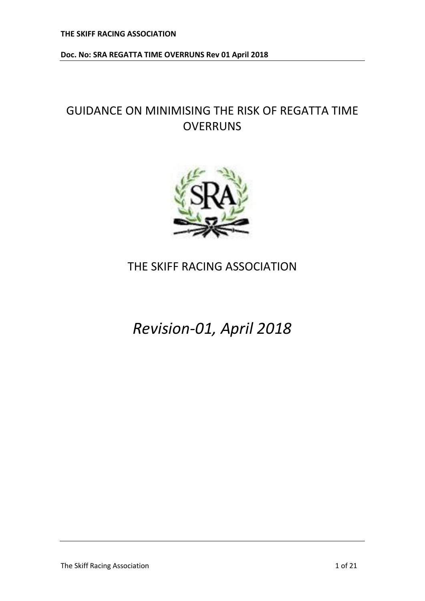# GUIDANCE ON MINIMISING THE RISK OF REGATTA TIME **OVERRUNS**



## THE SKIFF RACING ASSOCIATION

*Revision-01, April 2018*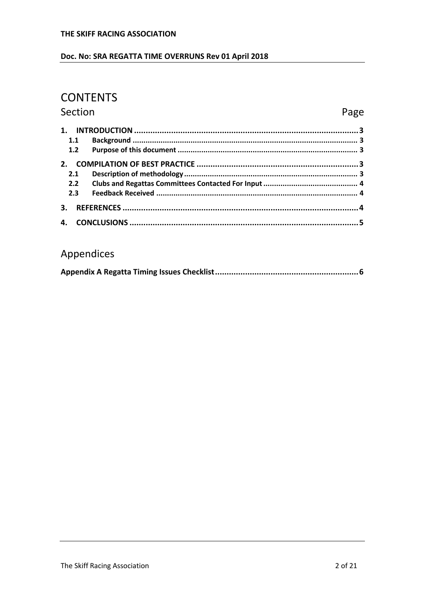## Doc. No: SRA REGATTA TIME OVERRUNS Rev 01 April 2018

## **CONTENTS**

Section

## Page

| 1.1            |  |
|----------------|--|
| 1.2            |  |
| 2 <sub>1</sub> |  |
| 2.1            |  |
| $2.2^{\circ}$  |  |
| 2.3            |  |
| 3.             |  |
| 4.             |  |

## Appendices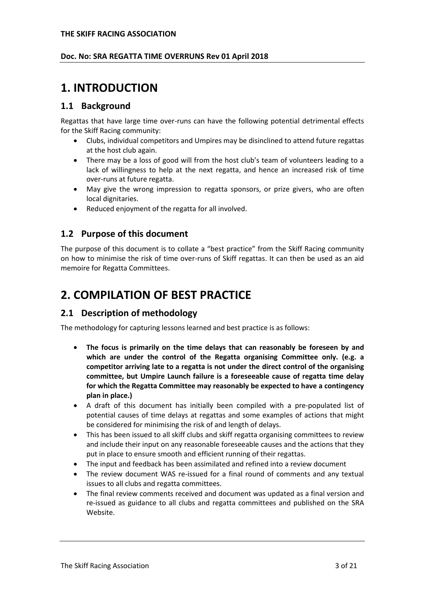### **Doc. No: SRA REGATTA TIME OVERRUNS Rev 01 April 2018**

## <span id="page-2-0"></span>**1. INTRODUCTION**

## <span id="page-2-1"></span>**1.1 Background**

Regattas that have large time over-runs can have the following potential detrimental effects for the Skiff Racing community:

- Clubs, individual competitors and Umpires may be disinclined to attend future regattas at the host club again.
- There may be a loss of good will from the host club's team of volunteers leading to a lack of willingness to help at the next regatta, and hence an increased risk of time over-runs at future regatta.
- May give the wrong impression to regatta sponsors, or prize givers, who are often local dignitaries.
- Reduced enjoyment of the regatta for all involved.

## <span id="page-2-2"></span>**1.2 Purpose of this document**

The purpose of this document is to collate a "best practice" from the Skiff Racing community on how to minimise the risk of time over-runs of Skiff regattas. It can then be used as an aid memoire for Regatta Committees.

## <span id="page-2-3"></span>**2. COMPILATION OF BEST PRACTICE**

## <span id="page-2-4"></span>**2.1 Description of methodology**

The methodology for capturing lessons learned and best practice is as follows:

- **The focus is primarily on the time delays that can reasonably be foreseen by and which are under the control of the Regatta organising Committee only. (e.g. a competitor arriving late to a regatta is not under the direct control of the organising committee, but Umpire Launch failure is a foreseeable cause of regatta time delay for which the Regatta Committee may reasonably be expected to have a contingency plan in place.)**
- A draft of this document has initially been compiled with a pre-populated list of potential causes of time delays at regattas and some examples of actions that might be considered for minimising the risk of and length of delays.
- This has been issued to all skiff clubs and skiff regatta organising committees to review and include their input on any reasonable foreseeable causes and the actions that they put in place to ensure smooth and efficient running of their regattas.
- The input and feedback has been assimilated and refined into a review document
- The review document WAS re-issued for a final round of comments and any textual issues to all clubs and regatta committees.
- The final review comments received and document was updated as a final version and re-issued as guidance to all clubs and regatta committees and published on the SRA Website.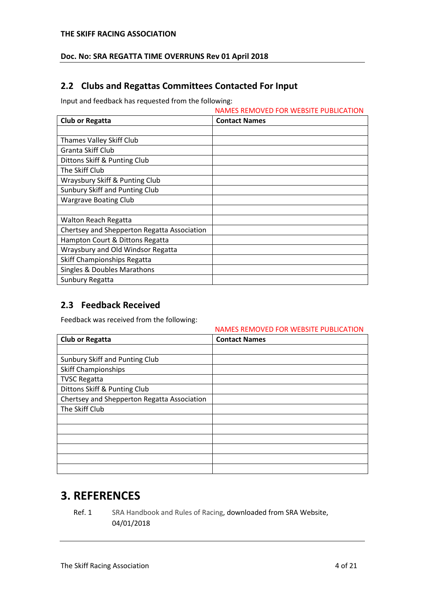### **Doc. No: SRA REGATTA TIME OVERRUNS Rev 01 April 2018**

## <span id="page-3-0"></span>**2.2 Clubs and Regattas Committees Contacted For Input**

Input and feedback has requested from the following:

|                                             | <b>NAMES REMOVED FOR WEBSITE PUBLICATION</b> |
|---------------------------------------------|----------------------------------------------|
| <b>Club or Regatta</b>                      | <b>Contact Names</b>                         |
|                                             |                                              |
| Thames Valley Skiff Club                    |                                              |
| Granta Skiff Club                           |                                              |
| Dittons Skiff & Punting Club                |                                              |
| The Skiff Club                              |                                              |
| Wraysbury Skiff & Punting Club              |                                              |
| Sunbury Skiff and Punting Club              |                                              |
| <b>Wargrave Boating Club</b>                |                                              |
|                                             |                                              |
| <b>Walton Reach Regatta</b>                 |                                              |
| Chertsey and Shepperton Regatta Association |                                              |
| Hampton Court & Dittons Regatta             |                                              |
| Wraysbury and Old Windsor Regatta           |                                              |
| Skiff Championships Regatta                 |                                              |
| Singles & Doubles Marathons                 |                                              |
| Sunbury Regatta                             |                                              |

## <span id="page-3-1"></span>**2.3 Feedback Received**

Feedback was received from the following:

|                                             | NAMES REMOVED FOR WEBSITE PUBLICATION |
|---------------------------------------------|---------------------------------------|
| <b>Club or Regatta</b>                      | <b>Contact Names</b>                  |
|                                             |                                       |
| Sunbury Skiff and Punting Club              |                                       |
| <b>Skiff Championships</b>                  |                                       |
| <b>TVSC Regatta</b>                         |                                       |
| Dittons Skiff & Punting Club                |                                       |
| Chertsey and Shepperton Regatta Association |                                       |
| The Skiff Club                              |                                       |
|                                             |                                       |
|                                             |                                       |
|                                             |                                       |
|                                             |                                       |
|                                             |                                       |
|                                             |                                       |

## <span id="page-3-2"></span>**3. REFERENCES**

Ref. 1 SRA Handbook and Rules of Racing, downloaded from SRA Website, 04/01/2018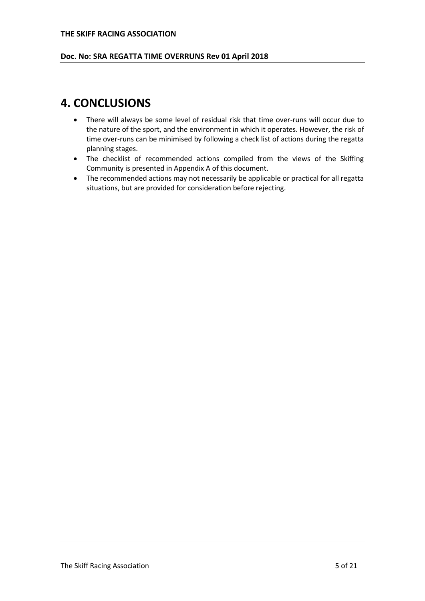#### **Doc. No: SRA REGATTA TIME OVERRUNS Rev 01 April 2018**

## <span id="page-4-0"></span>**4. CONCLUSIONS**

- There will always be some level of residual risk that time over-runs will occur due to the nature of the sport, and the environment in which it operates. However, the risk of time over-runs can be minimised by following a check list of actions during the regatta planning stages.
- The checklist of recommended actions compiled from the views of the Skiffing Community is presented in Appendix A of this document.
- The recommended actions may not necessarily be applicable or practical for all regatta situations, but are provided for consideration before rejecting.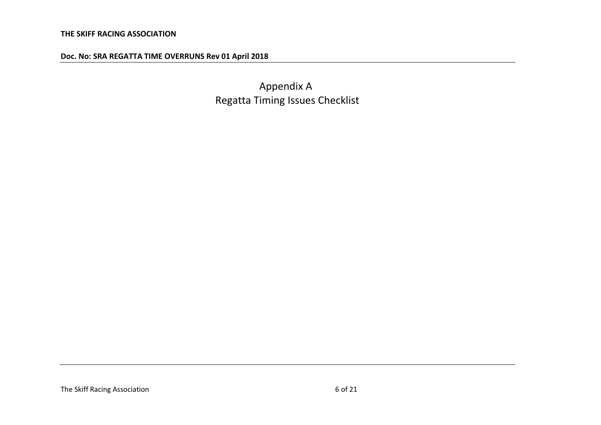Appendix A Regatta Timing Issues Checklist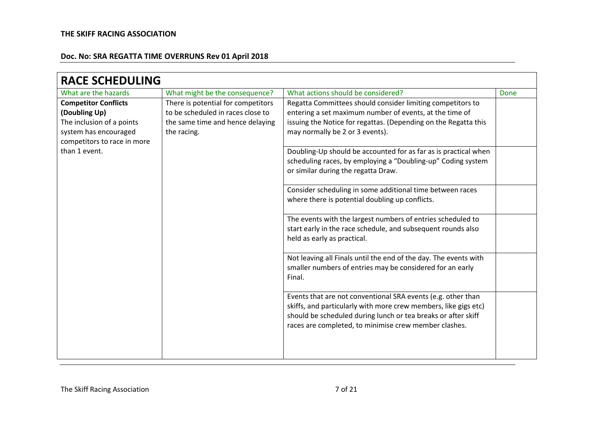| <b>RACE SCHEDULING</b>                                                                                                            |                                                                                                                            |                                                                                                                                                                                                                                                           |      |
|-----------------------------------------------------------------------------------------------------------------------------------|----------------------------------------------------------------------------------------------------------------------------|-----------------------------------------------------------------------------------------------------------------------------------------------------------------------------------------------------------------------------------------------------------|------|
| What are the hazards                                                                                                              | What might be the consequence?                                                                                             | What actions should be considered?                                                                                                                                                                                                                        | Done |
| <b>Competitor Conflicts</b><br>(Doubling Up)<br>The inclusion of a points<br>system has encouraged<br>competitors to race in more | There is potential for competitors<br>to be scheduled in races close to<br>the same time and hence delaying<br>the racing. | Regatta Committees should consider limiting competitors to<br>entering a set maximum number of events, at the time of<br>issuing the Notice for regattas. (Depending on the Regatta this<br>may normally be 2 or 3 events).                               |      |
| than 1 event.                                                                                                                     |                                                                                                                            | Doubling-Up should be accounted for as far as is practical when<br>scheduling races, by employing a "Doubling-up" Coding system<br>or similar during the regatta Draw.                                                                                    |      |
|                                                                                                                                   |                                                                                                                            | Consider scheduling in some additional time between races<br>where there is potential doubling up conflicts.                                                                                                                                              |      |
|                                                                                                                                   |                                                                                                                            | The events with the largest numbers of entries scheduled to<br>start early in the race schedule, and subsequent rounds also<br>held as early as practical.                                                                                                |      |
|                                                                                                                                   |                                                                                                                            | Not leaving all Finals until the end of the day. The events with<br>smaller numbers of entries may be considered for an early<br>Final.                                                                                                                   |      |
|                                                                                                                                   |                                                                                                                            | Events that are not conventional SRA events (e.g. other than<br>skiffs, and particularly with more crew members, like gigs etc)<br>should be scheduled during lunch or tea breaks or after skiff<br>races are completed, to minimise crew member clashes. |      |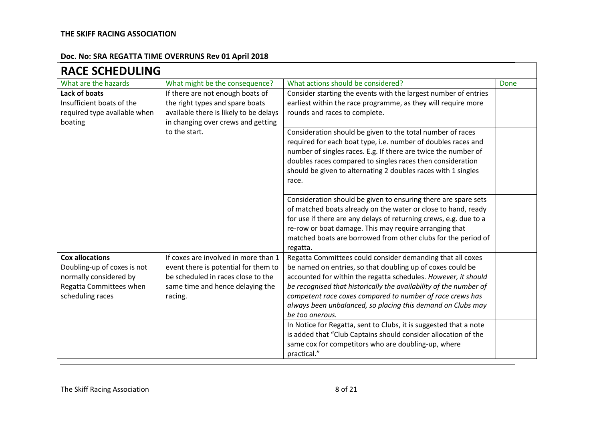$\blacksquare$ 

| <b>RACE SCHEDULING</b>       |                                        |                                                                                |      |
|------------------------------|----------------------------------------|--------------------------------------------------------------------------------|------|
| What are the hazards         | What might be the consequence?         | What actions should be considered?                                             | Done |
| Lack of boats                | If there are not enough boats of       | Consider starting the events with the largest number of entries                |      |
| Insufficient boats of the    | the right types and spare boats        | earliest within the race programme, as they will require more                  |      |
| required type available when | available there is likely to be delays | rounds and races to complete.                                                  |      |
| boating                      | in changing over crews and getting     |                                                                                |      |
|                              | to the start.                          | Consideration should be given to the total number of races                     |      |
|                              |                                        | required for each boat type, i.e. number of doubles races and                  |      |
|                              |                                        | number of singles races. E.g. If there are twice the number of                 |      |
|                              |                                        | doubles races compared to singles races then consideration                     |      |
|                              |                                        | should be given to alternating 2 doubles races with 1 singles<br>race.         |      |
|                              |                                        |                                                                                |      |
|                              |                                        | Consideration should be given to ensuring there are spare sets                 |      |
|                              |                                        | of matched boats already on the water or close to hand, ready                  |      |
|                              |                                        | for use if there are any delays of returning crews, e.g. due to a              |      |
|                              |                                        | re-row or boat damage. This may require arranging that                         |      |
|                              |                                        | matched boats are borrowed from other clubs for the period of                  |      |
|                              |                                        | regatta.                                                                       |      |
| <b>Cox allocations</b>       | If coxes are involved in more than 1   | Regatta Committees could consider demanding that all coxes                     |      |
| Doubling-up of coxes is not  | event there is potential for them to   | be named on entries, so that doubling up of coxes could be                     |      |
| normally considered by       | be scheduled in races close to the     | accounted for within the regatta schedules. However, it should                 |      |
| Regatta Committees when      | same time and hence delaying the       | be recognised that historically the availability of the number of              |      |
| scheduling races             | racing.                                | competent race coxes compared to number of race crews has                      |      |
|                              |                                        | always been unbalanced, so placing this demand on Clubs may<br>be too onerous. |      |
|                              |                                        | In Notice for Regatta, sent to Clubs, it is suggested that a note              |      |
|                              |                                        | is added that "Club Captains should consider allocation of the                 |      |
|                              |                                        | same cox for competitors who are doubling-up, where                            |      |
|                              |                                        | practical."                                                                    |      |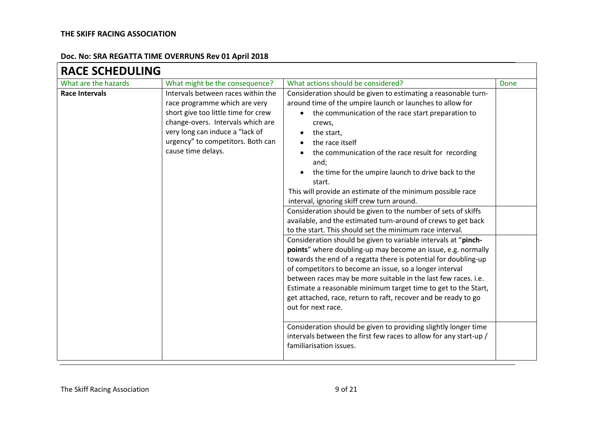| <b>RACE SCHEDULING</b> |                                                                                                                                                                                                                                               |                                                                                                                                                                                                                                                                                                                                                                                                                                                                                                                                                                                                                                                                                                                                                                                                                                                                                                                                                                                                                                                                                                                                                                                                                                                                                                                                      |      |
|------------------------|-----------------------------------------------------------------------------------------------------------------------------------------------------------------------------------------------------------------------------------------------|--------------------------------------------------------------------------------------------------------------------------------------------------------------------------------------------------------------------------------------------------------------------------------------------------------------------------------------------------------------------------------------------------------------------------------------------------------------------------------------------------------------------------------------------------------------------------------------------------------------------------------------------------------------------------------------------------------------------------------------------------------------------------------------------------------------------------------------------------------------------------------------------------------------------------------------------------------------------------------------------------------------------------------------------------------------------------------------------------------------------------------------------------------------------------------------------------------------------------------------------------------------------------------------------------------------------------------------|------|
| What are the hazards   | What might be the consequence?                                                                                                                                                                                                                | What actions should be considered?                                                                                                                                                                                                                                                                                                                                                                                                                                                                                                                                                                                                                                                                                                                                                                                                                                                                                                                                                                                                                                                                                                                                                                                                                                                                                                   | Done |
| <b>Race Intervals</b>  | Intervals between races within the<br>race programme which are very<br>short give too little time for crew<br>change-overs. Intervals which are<br>very long can induce a "lack of<br>urgency" to competitors. Both can<br>cause time delays. | Consideration should be given to estimating a reasonable turn-<br>around time of the umpire launch or launches to allow for<br>the communication of the race start preparation to<br>crews,<br>the start,<br>the race itself<br>the communication of the race result for recording<br>and;<br>the time for the umpire launch to drive back to the<br>start.<br>This will provide an estimate of the minimum possible race<br>interval, ignoring skiff crew turn around.<br>Consideration should be given to the number of sets of skiffs<br>available, and the estimated turn-around of crews to get back<br>to the start. This should set the minimum race interval.<br>Consideration should be given to variable intervals at "pinch-<br>points" where doubling-up may become an issue, e.g. normally<br>towards the end of a regatta there is potential for doubling-up<br>of competitors to become an issue, so a longer interval<br>between races may be more suitable in the last few races. i.e.<br>Estimate a reasonable minimum target time to get to the Start,<br>get attached, race, return to raft, recover and be ready to go<br>out for next race.<br>Consideration should be given to providing slightly longer time<br>intervals between the first few races to allow for any start-up /<br>familiarisation issues. |      |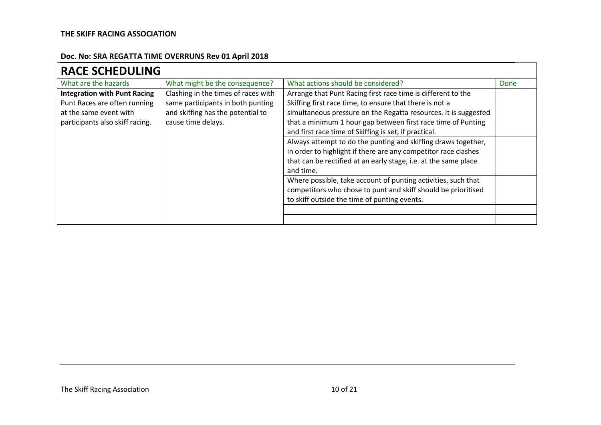| <b>RACE SCHEDULING</b>              |                                     |                                                                 |      |
|-------------------------------------|-------------------------------------|-----------------------------------------------------------------|------|
| What are the hazards                | What might be the consequence?      | What actions should be considered?                              | Done |
| <b>Integration with Punt Racing</b> | Clashing in the times of races with | Arrange that Punt Racing first race time is different to the    |      |
| Punt Races are often running        | same participants in both punting   | Skiffing first race time, to ensure that there is not a         |      |
| at the same event with              | and skiffing has the potential to   | simultaneous pressure on the Regatta resources. It is suggested |      |
| participants also skiff racing.     | cause time delays.                  | that a minimum 1 hour gap between first race time of Punting    |      |
|                                     |                                     | and first race time of Skiffing is set, if practical.           |      |
|                                     |                                     | Always attempt to do the punting and skiffing draws together,   |      |
|                                     |                                     | in order to highlight if there are any competitor race clashes  |      |
|                                     |                                     | that can be rectified at an early stage, i.e. at the same place |      |
|                                     |                                     | and time.                                                       |      |
|                                     |                                     | Where possible, take account of punting activities, such that   |      |
|                                     |                                     | competitors who chose to punt and skiff should be prioritised   |      |
|                                     |                                     | to skiff outside the time of punting events.                    |      |
|                                     |                                     |                                                                 |      |
|                                     |                                     |                                                                 |      |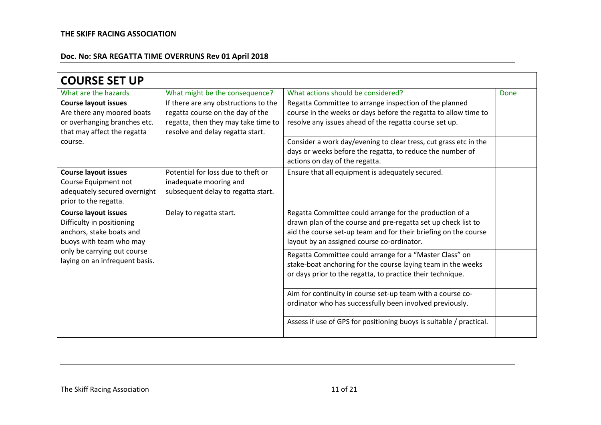| <b>COURSE SET UP</b>                                                                                                                |                                                                                                                                                     |                                                                                                                                                                                                                                                         |      |
|-------------------------------------------------------------------------------------------------------------------------------------|-----------------------------------------------------------------------------------------------------------------------------------------------------|---------------------------------------------------------------------------------------------------------------------------------------------------------------------------------------------------------------------------------------------------------|------|
| What are the hazards                                                                                                                | What might be the consequence?                                                                                                                      | What actions should be considered?                                                                                                                                                                                                                      | Done |
| <b>Course layout issues</b><br>Are there any moored boats<br>or overhanging branches etc.<br>that may affect the regatta<br>course. | If there are any obstructions to the<br>regatta course on the day of the<br>regatta, then they may take time to<br>resolve and delay regatta start. | Regatta Committee to arrange inspection of the planned<br>course in the weeks or days before the regatta to allow time to<br>resolve any issues ahead of the regatta course set up.<br>Consider a work day/evening to clear tress, cut grass etc in the |      |
|                                                                                                                                     |                                                                                                                                                     | days or weeks before the regatta, to reduce the number of<br>actions on day of the regatta.                                                                                                                                                             |      |
| <b>Course layout issues</b><br>Course Equipment not<br>adequately secured overnight<br>prior to the regatta.                        | Potential for loss due to theft or<br>inadequate mooring and<br>subsequent delay to regatta start.                                                  | Ensure that all equipment is adequately secured.                                                                                                                                                                                                        |      |
| <b>Course layout issues</b><br>Difficulty in positioning<br>anchors, stake boats and<br>buoys with team who may                     | Delay to regatta start.                                                                                                                             | Regatta Committee could arrange for the production of a<br>drawn plan of the course and pre-regatta set up check list to<br>aid the course set-up team and for their briefing on the course<br>layout by an assigned course co-ordinator.               |      |
| only be carrying out course<br>laying on an infrequent basis.                                                                       |                                                                                                                                                     | Regatta Committee could arrange for a "Master Class" on<br>stake-boat anchoring for the course laying team in the weeks<br>or days prior to the regatta, to practice their technique.                                                                   |      |
|                                                                                                                                     |                                                                                                                                                     | Aim for continuity in course set-up team with a course co-<br>ordinator who has successfully been involved previously.                                                                                                                                  |      |
|                                                                                                                                     |                                                                                                                                                     | Assess if use of GPS for positioning buoys is suitable / practical.                                                                                                                                                                                     |      |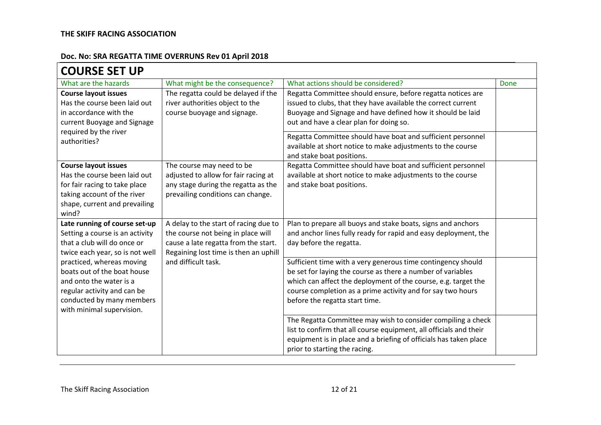| <b>COURSE SET UP</b>                                                                                                                                                         |                                                                                                                                                              |                                                                                                                                                                                                                                                                                                                                                                                                  |      |
|------------------------------------------------------------------------------------------------------------------------------------------------------------------------------|--------------------------------------------------------------------------------------------------------------------------------------------------------------|--------------------------------------------------------------------------------------------------------------------------------------------------------------------------------------------------------------------------------------------------------------------------------------------------------------------------------------------------------------------------------------------------|------|
| What are the hazards                                                                                                                                                         | What might be the consequence?                                                                                                                               | What actions should be considered?                                                                                                                                                                                                                                                                                                                                                               | Done |
| <b>Course layout issues</b><br>Has the course been laid out<br>in accordance with the<br>current Buoyage and Signage<br>required by the river<br>authorities?                | The regatta could be delayed if the<br>river authorities object to the<br>course buoyage and signage.                                                        | Regatta Committee should ensure, before regatta notices are<br>issued to clubs, that they have available the correct current<br>Buoyage and Signage and have defined how it should be laid<br>out and have a clear plan for doing so.<br>Regatta Committee should have boat and sufficient personnel<br>available at short notice to make adjustments to the course<br>and stake boat positions. |      |
| <b>Course layout issues</b><br>Has the course been laid out<br>for fair racing to take place<br>taking account of the river<br>shape, current and prevailing<br>wind?        | The course may need to be<br>adjusted to allow for fair racing at<br>any stage during the regatta as the<br>prevailing conditions can change.                | Regatta Committee should have boat and sufficient personnel<br>available at short notice to make adjustments to the course<br>and stake boat positions.                                                                                                                                                                                                                                          |      |
| Late running of course set-up<br>Setting a course is an activity<br>that a club will do once or<br>twice each year, so is not well                                           | A delay to the start of racing due to<br>the course not being in place will<br>cause a late regatta from the start.<br>Regaining lost time is then an uphill | Plan to prepare all buoys and stake boats, signs and anchors<br>and anchor lines fully ready for rapid and easy deployment, the<br>day before the regatta.                                                                                                                                                                                                                                       |      |
| practiced, whereas moving<br>boats out of the boat house<br>and onto the water is a<br>regular activity and can be<br>conducted by many members<br>with minimal supervision. | and difficult task.                                                                                                                                          | Sufficient time with a very generous time contingency should<br>be set for laying the course as there a number of variables<br>which can affect the deployment of the course, e.g. target the<br>course completion as a prime activity and for say two hours<br>before the regatta start time.                                                                                                   |      |
|                                                                                                                                                                              |                                                                                                                                                              | The Regatta Committee may wish to consider compiling a check<br>list to confirm that all course equipment, all officials and their<br>equipment is in place and a briefing of officials has taken place<br>prior to starting the racing.                                                                                                                                                         |      |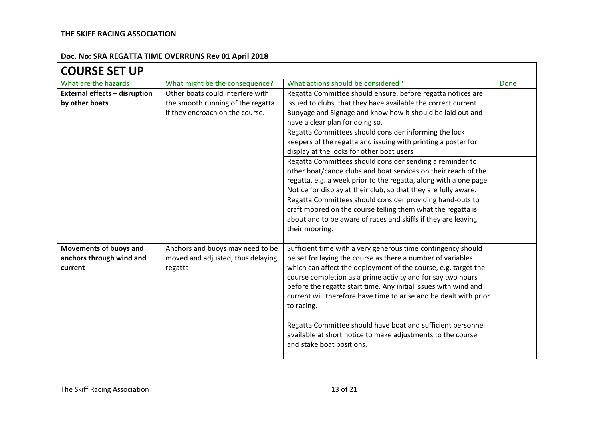#### **Doc. No: SRA REGATTA TIME OVERRUNS Rev 01 April 2018**  $\blacksquare$

| <b>COURSE SET UP</b>                 |                                   |                                                                   |      |
|--------------------------------------|-----------------------------------|-------------------------------------------------------------------|------|
| What are the hazards                 | What might be the consequence?    | What actions should be considered?                                | Done |
| <b>External effects - disruption</b> | Other boats could interfere with  | Regatta Committee should ensure, before regatta notices are       |      |
| by other boats                       | the smooth running of the regatta | issued to clubs, that they have available the correct current     |      |
|                                      | if they encroach on the course.   | Buoyage and Signage and know how it should be laid out and        |      |
|                                      |                                   | have a clear plan for doing so.                                   |      |
|                                      |                                   | Regatta Committees should consider informing the lock             |      |
|                                      |                                   | keepers of the regatta and issuing with printing a poster for     |      |
|                                      |                                   | display at the locks for other boat users                         |      |
|                                      |                                   | Regatta Committees should consider sending a reminder to          |      |
|                                      |                                   | other boat/canoe clubs and boat services on their reach of the    |      |
|                                      |                                   | regatta, e.g. a week prior to the regatta, along with a one page  |      |
|                                      |                                   | Notice for display at their club, so that they are fully aware.   |      |
|                                      |                                   | Regatta Committees should consider providing hand-outs to         |      |
|                                      |                                   | craft moored on the course telling them what the regatta is       |      |
|                                      |                                   | about and to be aware of races and skiffs if they are leaving     |      |
|                                      |                                   | their mooring.                                                    |      |
| Movements of buoys and               | Anchors and buoys may need to be  | Sufficient time with a very generous time contingency should      |      |
| anchors through wind and             | moved and adjusted, thus delaying | be set for laying the course as there a number of variables       |      |
| current                              | regatta.                          | which can affect the deployment of the course, e.g. target the    |      |
|                                      |                                   | course completion as a prime activity and for say two hours       |      |
|                                      |                                   | before the regatta start time. Any initial issues with wind and   |      |
|                                      |                                   | current will therefore have time to arise and be dealt with prior |      |
|                                      |                                   | to racing.                                                        |      |
|                                      |                                   |                                                                   |      |
|                                      |                                   | Regatta Committee should have boat and sufficient personnel       |      |
|                                      |                                   | available at short notice to make adjustments to the course       |      |
|                                      |                                   | and stake boat positions.                                         |      |
|                                      |                                   |                                                                   |      |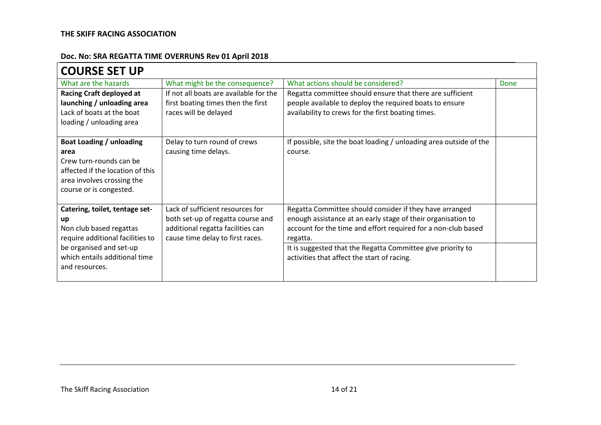| <b>COURSE SET UP</b>                                                                                                                                                              |                                                                                                                                                |                                                                                                                                                                                                                                                                                                                    |      |
|-----------------------------------------------------------------------------------------------------------------------------------------------------------------------------------|------------------------------------------------------------------------------------------------------------------------------------------------|--------------------------------------------------------------------------------------------------------------------------------------------------------------------------------------------------------------------------------------------------------------------------------------------------------------------|------|
| What are the hazards                                                                                                                                                              | What might be the consequence?                                                                                                                 | What actions should be considered?                                                                                                                                                                                                                                                                                 | Done |
| <b>Racing Craft deployed at</b><br>launching / unloading area<br>Lack of boats at the boat<br>loading / unloading area                                                            | If not all boats are available for the<br>first boating times then the first<br>races will be delayed                                          | Regatta committee should ensure that there are sufficient<br>people available to deploy the required boats to ensure<br>availability to crews for the first boating times.                                                                                                                                         |      |
| Boat Loading / unloading<br>area<br>Crew turn-rounds can be<br>affected if the location of this<br>area involves crossing the<br>course or is congested.                          | Delay to turn round of crews<br>causing time delays.                                                                                           | If possible, site the boat loading / unloading area outside of the<br>course.                                                                                                                                                                                                                                      |      |
| Catering, toilet, tentage set-<br>up<br>Non club based regattas<br>require additional facilities to<br>be organised and set-up<br>which entails additional time<br>and resources. | Lack of sufficient resources for<br>both set-up of regatta course and<br>additional regatta facilities can<br>cause time delay to first races. | Regatta Committee should consider if they have arranged<br>enough assistance at an early stage of their organisation to<br>account for the time and effort required for a non-club based<br>regatta.<br>It is suggested that the Regatta Committee give priority to<br>activities that affect the start of racing. |      |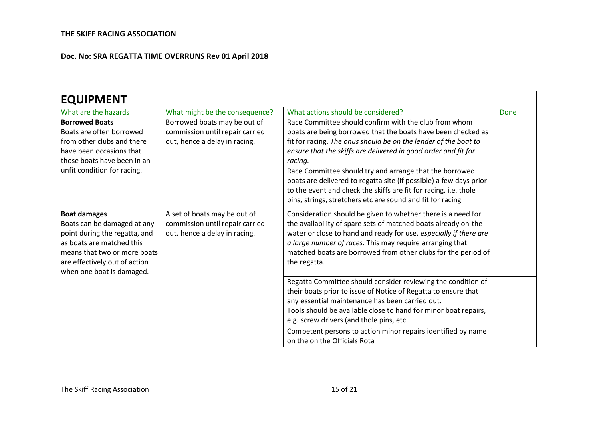| <b>EQUIPMENT</b>                                                                                                                                                                                               |                                                                                                  |                                                                                                                                                                                                                                                                                                                                                  |      |
|----------------------------------------------------------------------------------------------------------------------------------------------------------------------------------------------------------------|--------------------------------------------------------------------------------------------------|--------------------------------------------------------------------------------------------------------------------------------------------------------------------------------------------------------------------------------------------------------------------------------------------------------------------------------------------------|------|
| What are the hazards                                                                                                                                                                                           | What might be the consequence?                                                                   | What actions should be considered?                                                                                                                                                                                                                                                                                                               | Done |
| <b>Borrowed Boats</b><br>Boats are often borrowed<br>from other clubs and there<br>have been occasions that<br>those boats have been in an                                                                     | Borrowed boats may be out of<br>commission until repair carried<br>out, hence a delay in racing. | Race Committee should confirm with the club from whom<br>boats are being borrowed that the boats have been checked as<br>fit for racing. The onus should be on the lender of the boat to<br>ensure that the skiffs are delivered in good order and fit for<br>racing.                                                                            |      |
| unfit condition for racing.                                                                                                                                                                                    |                                                                                                  | Race Committee should try and arrange that the borrowed<br>boats are delivered to regatta site (if possible) a few days prior<br>to the event and check the skiffs are fit for racing. i.e. thole<br>pins, strings, stretchers etc are sound and fit for racing                                                                                  |      |
| <b>Boat damages</b><br>Boats can be damaged at any<br>point during the regatta, and<br>as boats are matched this<br>means that two or more boats<br>are effectively out of action<br>when one boat is damaged. | A set of boats may be out of<br>commission until repair carried<br>out, hence a delay in racing. | Consideration should be given to whether there is a need for<br>the availability of spare sets of matched boats already on-the<br>water or close to hand and ready for use, especially if there are<br>a large number of races. This may require arranging that<br>matched boats are borrowed from other clubs for the period of<br>the regatta. |      |
|                                                                                                                                                                                                                |                                                                                                  | Regatta Committee should consider reviewing the condition of<br>their boats prior to issue of Notice of Regatta to ensure that<br>any essential maintenance has been carried out.                                                                                                                                                                |      |
|                                                                                                                                                                                                                |                                                                                                  | Tools should be available close to hand for minor boat repairs,<br>e.g. screw drivers (and thole pins, etc                                                                                                                                                                                                                                       |      |
|                                                                                                                                                                                                                |                                                                                                  | Competent persons to action minor repairs identified by name<br>on the on the Officials Rota                                                                                                                                                                                                                                                     |      |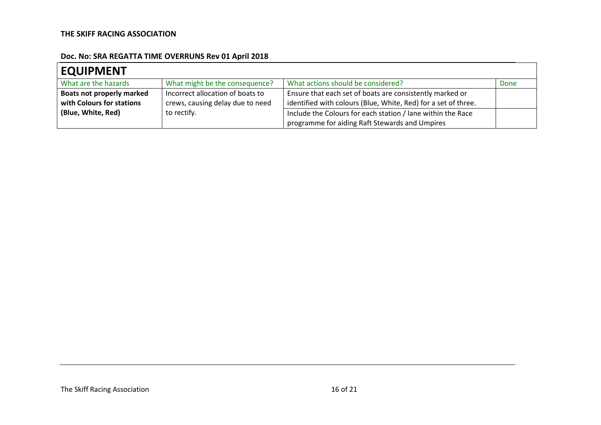| <b>EQUIPMENT</b>                 |                                  |                                                                |      |
|----------------------------------|----------------------------------|----------------------------------------------------------------|------|
| What are the hazards             | What might be the consequence?   | What actions should be considered?                             | Done |
| <b>Boats not properly marked</b> | Incorrect allocation of boats to | Ensure that each set of boats are consistently marked or       |      |
| with Colours for stations        | crews, causing delay due to need | identified with colours (Blue, White, Red) for a set of three. |      |
| (Blue, White, Red)               | to rectify.                      | Include the Colours for each station / lane within the Race    |      |
|                                  |                                  | programme for aiding Raft Stewards and Umpires                 |      |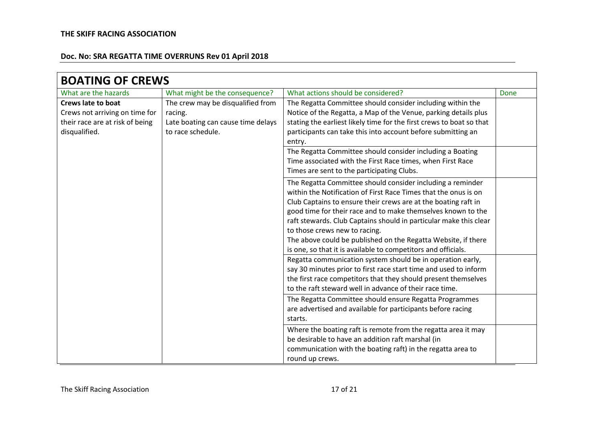| <b>BOATING OF CREWS</b>                                                            |                                                                    |                                                                                                                                                                                                                                                                                                                                                                                                                                                                                                         |      |
|------------------------------------------------------------------------------------|--------------------------------------------------------------------|---------------------------------------------------------------------------------------------------------------------------------------------------------------------------------------------------------------------------------------------------------------------------------------------------------------------------------------------------------------------------------------------------------------------------------------------------------------------------------------------------------|------|
| What are the hazards                                                               | What might be the consequence?                                     | What actions should be considered?                                                                                                                                                                                                                                                                                                                                                                                                                                                                      | Done |
| <b>Crews late to boat</b>                                                          | The crew may be disqualified from                                  | The Regatta Committee should consider including within the                                                                                                                                                                                                                                                                                                                                                                                                                                              |      |
| Crews not arriving on time for<br>their race are at risk of being<br>disqualified. | racing.<br>Late boating can cause time delays<br>to race schedule. | Notice of the Regatta, a Map of the Venue, parking details plus<br>stating the earliest likely time for the first crews to boat so that<br>participants can take this into account before submitting an<br>entry.                                                                                                                                                                                                                                                                                       |      |
|                                                                                    |                                                                    | The Regatta Committee should consider including a Boating<br>Time associated with the First Race times, when First Race<br>Times are sent to the participating Clubs.                                                                                                                                                                                                                                                                                                                                   |      |
|                                                                                    |                                                                    | The Regatta Committee should consider including a reminder<br>within the Notification of First Race Times that the onus is on<br>Club Captains to ensure their crews are at the boating raft in<br>good time for their race and to make themselves known to the<br>raft stewards. Club Captains should in particular make this clear<br>to those crews new to racing.<br>The above could be published on the Regatta Website, if there<br>is one, so that it is available to competitors and officials. |      |
|                                                                                    |                                                                    | Regatta communication system should be in operation early,<br>say 30 minutes prior to first race start time and used to inform<br>the first race competitors that they should present themselves<br>to the raft steward well in advance of their race time.                                                                                                                                                                                                                                             |      |
|                                                                                    |                                                                    | The Regatta Committee should ensure Regatta Programmes<br>are advertised and available for participants before racing<br>starts.                                                                                                                                                                                                                                                                                                                                                                        |      |
|                                                                                    |                                                                    | Where the boating raft is remote from the regatta area it may<br>be desirable to have an addition raft marshal (in<br>communication with the boating raft) in the regatta area to<br>round up crews.                                                                                                                                                                                                                                                                                                    |      |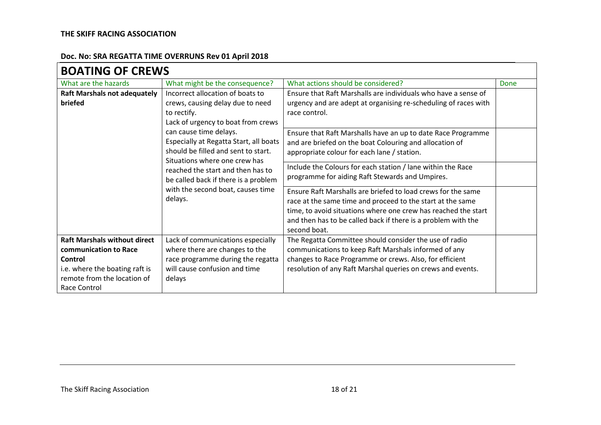| <b>BOATING OF CREWS</b>                                                                                                                                                                                                                                                                                                                                                                                                                              |                                                                                                                                                                        |                                                                                                                                                                                                                                                                               |      |  |
|------------------------------------------------------------------------------------------------------------------------------------------------------------------------------------------------------------------------------------------------------------------------------------------------------------------------------------------------------------------------------------------------------------------------------------------------------|------------------------------------------------------------------------------------------------------------------------------------------------------------------------|-------------------------------------------------------------------------------------------------------------------------------------------------------------------------------------------------------------------------------------------------------------------------------|------|--|
| What are the hazards                                                                                                                                                                                                                                                                                                                                                                                                                                 | What might be the consequence?                                                                                                                                         | What actions should be considered?                                                                                                                                                                                                                                            | Done |  |
| Incorrect allocation of boats to<br><b>Raft Marshals not adequately</b><br>crews, causing delay due to need<br>briefed<br>to rectify.<br>Lack of urgency to boat from crews<br>can cause time delays.<br>Especially at Regatta Start, all boats<br>should be filled and sent to start.<br>Situations where one crew has<br>reached the start and then has to<br>be called back if there is a problem<br>with the second boat, causes time<br>delays. |                                                                                                                                                                        | Ensure that Raft Marshalls are individuals who have a sense of<br>urgency and are adept at organising re-scheduling of races with<br>race control.                                                                                                                            |      |  |
|                                                                                                                                                                                                                                                                                                                                                                                                                                                      | Ensure that Raft Marshalls have an up to date Race Programme<br>and are briefed on the boat Colouring and allocation of<br>appropriate colour for each lane / station. |                                                                                                                                                                                                                                                                               |      |  |
|                                                                                                                                                                                                                                                                                                                                                                                                                                                      |                                                                                                                                                                        | Include the Colours for each station / lane within the Race<br>programme for aiding Raft Stewards and Umpires.                                                                                                                                                                |      |  |
|                                                                                                                                                                                                                                                                                                                                                                                                                                                      |                                                                                                                                                                        | Ensure Raft Marshalls are briefed to load crews for the same<br>race at the same time and proceed to the start at the same<br>time, to avoid situations where one crew has reached the start<br>and then has to be called back if there is a problem with the<br>second boat. |      |  |
| <b>Raft Marshals without direct</b><br>communication to Race<br>Control<br>i.e. where the boating raft is<br>remote from the location of<br>Race Control                                                                                                                                                                                                                                                                                             | Lack of communications especially<br>where there are changes to the<br>race programme during the regatta<br>will cause confusion and time<br>delays                    | The Regatta Committee should consider the use of radio<br>communications to keep Raft Marshals informed of any<br>changes to Race Programme or crews. Also, for efficient<br>resolution of any Raft Marshal queries on crews and events.                                      |      |  |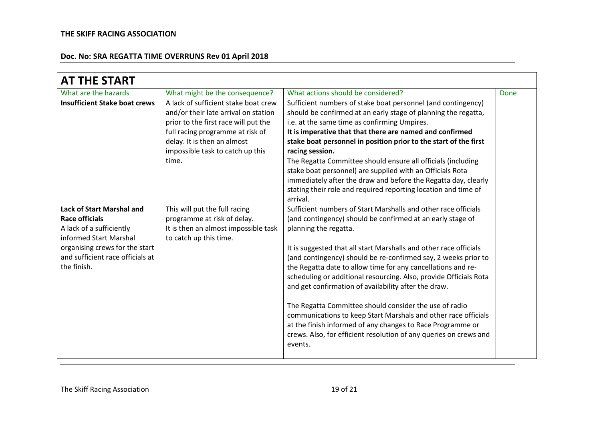| <b>AT THE START</b>                  |                                      |                                                                   |      |
|--------------------------------------|--------------------------------------|-------------------------------------------------------------------|------|
| What are the hazards                 | What might be the consequence?       | What actions should be considered?                                | Done |
| <b>Insufficient Stake boat crews</b> | A lack of sufficient stake boat crew | Sufficient numbers of stake boat personnel (and contingency)      |      |
|                                      | and/or their late arrival on station | should be confirmed at an early stage of planning the regatta,    |      |
|                                      | prior to the first race will put the | i.e. at the same time as confirming Umpires.                      |      |
|                                      | full racing programme at risk of     | It is imperative that that there are named and confirmed          |      |
|                                      | delay. It is then an almost          | stake boat personnel in position prior to the start of the first  |      |
|                                      | impossible task to catch up this     | racing session.                                                   |      |
|                                      | time.                                | The Regatta Committee should ensure all officials (including      |      |
|                                      |                                      | stake boat personnel) are supplied with an Officials Rota         |      |
|                                      |                                      | immediately after the draw and before the Regatta day, clearly    |      |
|                                      |                                      | stating their role and required reporting location and time of    |      |
|                                      |                                      | arrival.                                                          |      |
| <b>Lack of Start Marshal and</b>     | This will put the full racing        | Sufficient numbers of Start Marshalls and other race officials    |      |
| <b>Race officials</b>                | programme at risk of delay.          | (and contingency) should be confirmed at an early stage of        |      |
| A lack of a sufficiently             | It is then an almost impossible task | planning the regatta.                                             |      |
| informed Start Marshal               | to catch up this time.               |                                                                   |      |
| organising crews for the start       |                                      | It is suggested that all start Marshalls and other race officials |      |
| and sufficient race officials at     |                                      | (and contingency) should be re-confirmed say, 2 weeks prior to    |      |
| the finish.                          |                                      | the Regatta date to allow time for any cancellations and re-      |      |
|                                      |                                      | scheduling or additional resourcing. Also, provide Officials Rota |      |
|                                      |                                      | and get confirmation of availability after the draw.              |      |
|                                      |                                      | The Regatta Committee should consider the use of radio            |      |
|                                      |                                      | communications to keep Start Marshals and other race officials    |      |
|                                      |                                      | at the finish informed of any changes to Race Programme or        |      |
|                                      |                                      | crews. Also, for efficient resolution of any queries on crews and |      |
|                                      |                                      | events.                                                           |      |
|                                      |                                      |                                                                   |      |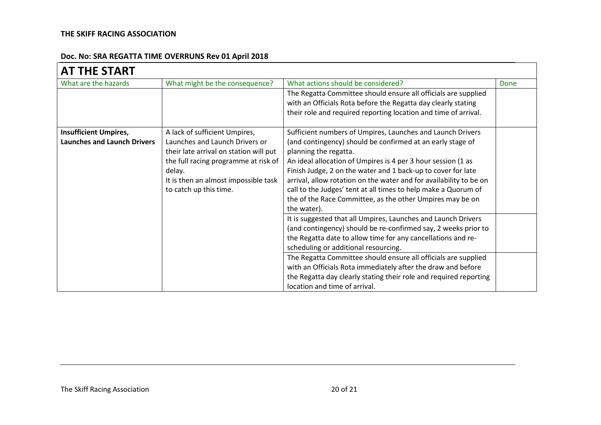| <b>AT THE START</b>                |                                        |                                                                    |      |
|------------------------------------|----------------------------------------|--------------------------------------------------------------------|------|
| What are the hazards               | What might be the consequence?         | What actions should be considered?                                 | Done |
|                                    |                                        | The Regatta Committee should ensure all officials are supplied     |      |
|                                    |                                        | with an Officials Rota before the Regatta day clearly stating      |      |
|                                    |                                        | their role and required reporting location and time of arrival.    |      |
| <b>Insufficient Umpires,</b>       | A lack of sufficient Umpires,          | Sufficient numbers of Umpires, Launches and Launch Drivers         |      |
| <b>Launches and Launch Drivers</b> | Launches and Launch Drivers or         | (and contingency) should be confirmed at an early stage of         |      |
|                                    | their late arrival on station will put | planning the regatta.                                              |      |
|                                    | the full racing programme at risk of   | An ideal allocation of Umpires is 4 per 3 hour session (1 as       |      |
|                                    | delay.                                 | Finish Judge, 2 on the water and 1 back-up to cover for late       |      |
|                                    | It is then an almost impossible task   | arrival, allow rotation on the water and for availability to be on |      |
|                                    | to catch up this time.                 | call to the Judges' tent at all times to help make a Quorum of     |      |
|                                    |                                        | the of the Race Committee, as the other Umpires may be on          |      |
|                                    |                                        | the water).                                                        |      |
|                                    |                                        | It is suggested that all Umpires, Launches and Launch Drivers      |      |
|                                    |                                        | (and contingency) should be re-confirmed say, 2 weeks prior to     |      |
|                                    |                                        | the Regatta date to allow time for any cancellations and re-       |      |
|                                    |                                        | scheduling or additional resourcing.                               |      |
|                                    |                                        | The Regatta Committee should ensure all officials are supplied     |      |
|                                    |                                        | with an Officials Rota immediately after the draw and before       |      |
|                                    |                                        | the Regatta day clearly stating their role and required reporting  |      |
|                                    |                                        | location and time of arrival.                                      |      |